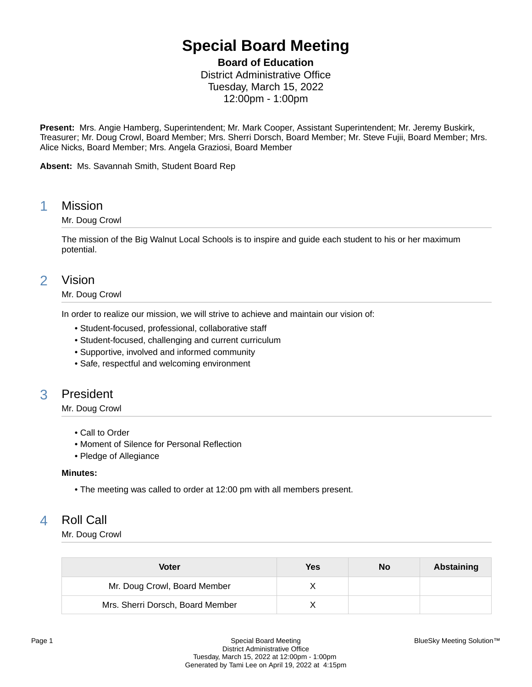# **Special Board Meeting**

**Board of Education**

District Administrative Office Tuesday, March 15, 2022 12:00pm - 1:00pm

**Present:** Mrs. Angie Hamberg, Superintendent; Mr. Mark Cooper, Assistant Superintendent; Mr. Jeremy Buskirk, Treasurer; Mr. Doug Crowl, Board Member; Mrs. Sherri Dorsch, Board Member; Mr. Steve Fujii, Board Member; Mrs. Alice Nicks, Board Member; Mrs. Angela Graziosi, Board Member

**Absent:** Ms. Savannah Smith, Student Board Rep

### 1 Mission

### Mr. Doug Crowl

The mission of the Big Walnut Local Schools is to inspire and guide each student to his or her maximum potential.

# 2 Vision

### Mr. Doug Crowl

In order to realize our mission, we will strive to achieve and maintain our vision of:

- Student-focused, professional, collaborative staff
- Student-focused, challenging and current curriculum
- Supportive, involved and informed community
- Safe, respectful and welcoming environment

# 3 President

### Mr. Doug Crowl

- Call to Order
- Moment of Silence for Personal Reflection
- Pledge of Allegiance

#### **Minutes:**

• The meeting was called to order at 12:00 pm with all members present.

# 4 Roll Call

Mr. Doug Crowl

| <b>Voter</b>                     | Yes | No | Abstaining |
|----------------------------------|-----|----|------------|
| Mr. Doug Crowl, Board Member     |     |    |            |
| Mrs. Sherri Dorsch, Board Member |     |    |            |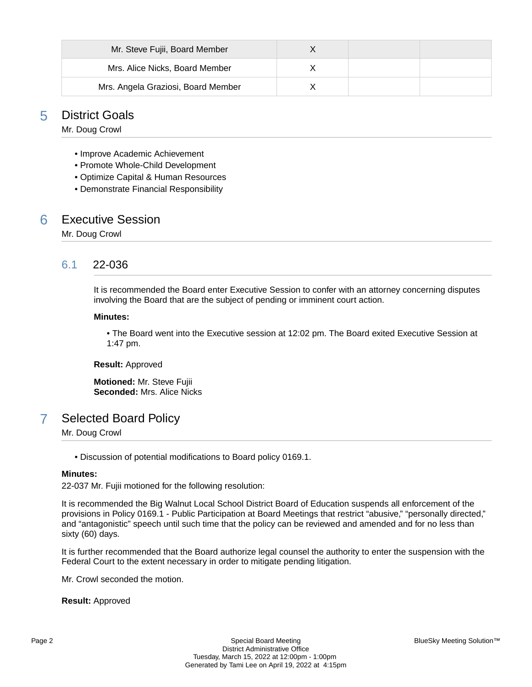| Mr. Steve Fujii, Board Member      |  |  |
|------------------------------------|--|--|
| Mrs. Alice Nicks, Board Member     |  |  |
| Mrs. Angela Graziosi, Board Member |  |  |

## 5 District Goals

Mr. Doug Crowl

- Improve Academic Achievement
- Promote Whole-Child Development
- Optimize Capital & Human Resources
- Demonstrate Financial Responsibility

### 6 Executive Session

Mr. Doug Crowl

### 6.1 22-036

It is recommended the Board enter Executive Session to confer with an attorney concerning disputes involving the Board that are the subject of pending or imminent court action.

#### **Minutes:**

• The Board went into the Executive session at 12:02 pm. The Board exited Executive Session at 1:47 pm.

**Result:** Approved

**Motioned:** Mr. Steve Fujii **Seconded:** Mrs. Alice Nicks

# 7 Selected Board Policy

Mr. Doug Crowl

• Discussion of potential modifications to Board policy 0169.1.

#### **Minutes:**

22-037 Mr. Fujii motioned for the following resolution:

It is recommended the Big Walnut Local School District Board of Education suspends all enforcement of the provisions in Policy 0169.1 - Public Participation at Board Meetings that restrict "abusive," "personally directed," and "antagonistic" speech until such time that the policy can be reviewed and amended and for no less than sixty (60) days.

It is further recommended that the Board authorize legal counsel the authority to enter the suspension with the Federal Court to the extent necessary in order to mitigate pending litigation.

Mr. Crowl seconded the motion.

**Result:** Approved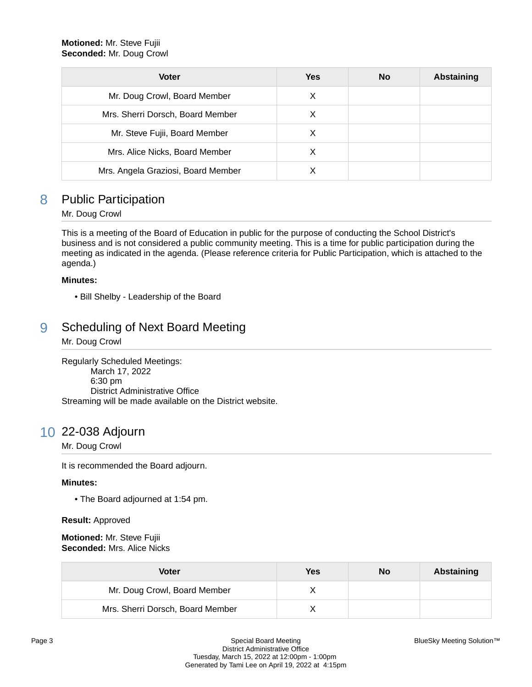| <b>Voter</b>                       | <b>Yes</b> | <b>No</b> | Abstaining |
|------------------------------------|------------|-----------|------------|
| Mr. Doug Crowl, Board Member       | X          |           |            |
| Mrs. Sherri Dorsch, Board Member   | X          |           |            |
| Mr. Steve Fujii, Board Member      | X          |           |            |
| Mrs. Alice Nicks, Board Member     | X          |           |            |
| Mrs. Angela Graziosi, Board Member |            |           |            |

# 8 Public Participation

### Mr. Doug Crowl

This is a meeting of the Board of Education in public for the purpose of conducting the School District's business and is not considered a public community meeting. This is a time for public participation during the meeting as indicated in the agenda. (Please reference criteria for Public Participation, which is attached to the agenda.)

### **Minutes:**

• Bill Shelby - Leadership of the Board

# 9 Scheduling of Next Board Meeting

Mr. Doug Crowl

Regularly Scheduled Meetings: March 17, 2022 6:30 pm District Administrative Office Streaming will be made available on the District website.

# 10 22-038 Adjourn

#### Mr. Doug Crowl

It is recommended the Board adjourn.

#### **Minutes:**

• The Board adjourned at 1:54 pm.

#### **Result:** Approved

**Motioned:** Mr. Steve Fujii **Seconded:** Mrs. Alice Nicks

| Voter                            | Yes | No | Abstaining |
|----------------------------------|-----|----|------------|
| Mr. Doug Crowl, Board Member     |     |    |            |
| Mrs. Sherri Dorsch, Board Member |     |    |            |